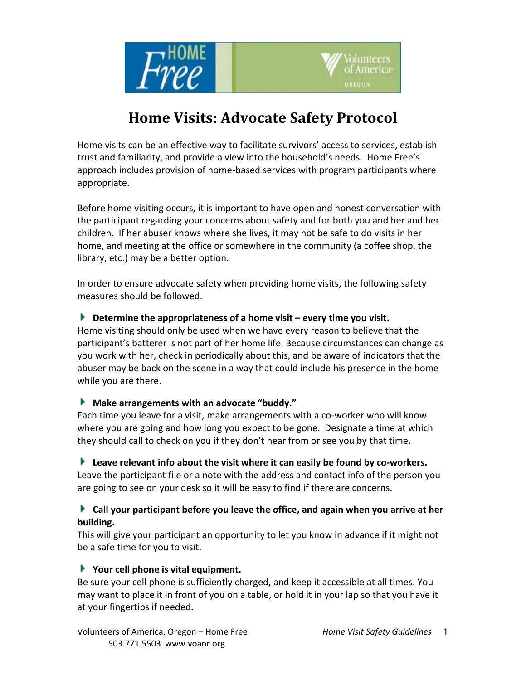



# **Home Visits: Advocate Safety Protocol**

Home visits can be an effective way to facilitate survivors' access to services, establish trust and familiarity, and provide a view into the household's needs. Home Free's approach includes provision of home-based services with program participants where appropriate.

Before home visiting occurs, it is important to have open and honest conversation with the participant regarding your concerns about safety and for both you and her and her children. If her abuser knows where she lives, it may not be safe to do visits in her home, and meeting at the office or somewhere in the community (a coffee shop, the library, etc.) may be a better option.

In order to ensure advocate safety when providing home visits, the following safety measures should be followed.

## **Determine the appropriateness of a home visit – every time you visit.**

Home visiting should only be used when we have every reason to believe that the participant's batterer is not part of her home life. Because circumstances can change as you work with her, check in periodically about this, and be aware of indicators that the abuser may be back on the scene in a way that could include his presence in the home while you are there.

## **Make arrangements with an advocate "buddy."**

Each time you leave for a visit, make arrangements with a co-worker who will know where you are going and how long you expect to be gone. Designate a time at which they should call to check on you if they don't hear from or see you by that time.

#### **Leave relevant info about the visit where it can easily be found by co-workers.**

Leave the participant file or a note with the address and contact info of the person you are going to see on your desk so it will be easy to find if there are concerns.

## **Call your participant before you leave the office, and again when you arrive at her building.**

This will give your participant an opportunity to let you know in advance if it might not be a safe time for you to visit.

#### **Your cell phone is vital equipment.**

Be sure your cell phone is sufficiently charged, and keep it accessible at all times. You may want to place it in front of you on a table, or hold it in your lap so that you have it at your fingertips if needed.